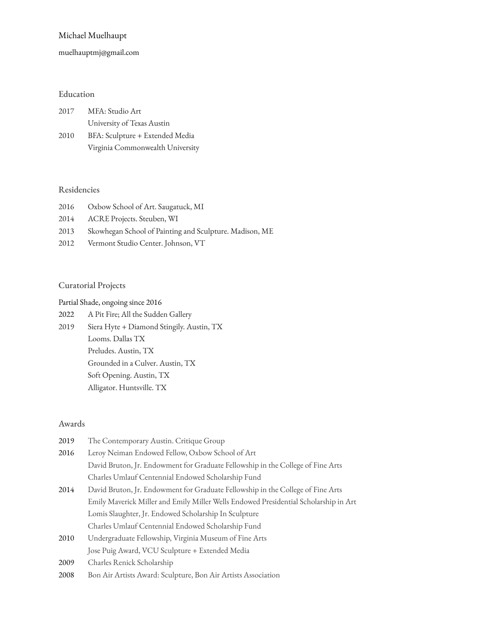## Michael Muelhaupt

### [muelhauptmj@gmail.co](mailto:muelhauptmj@gmail.com)m

# Education

| 2017 | MFA: Studio Art                  |
|------|----------------------------------|
|      | University of Texas Austin       |
| 2010 | BFA: Sculpture + Extended Media  |
|      | Virginia Commonwealth University |

#### Residencies

| 2016 | Oxbow School of Art. Saugatuck, MI                      |
|------|---------------------------------------------------------|
| 2014 | ACRE Projects. Steuben, WI                              |
| 2013 | Skowhegan School of Painting and Sculpture. Madison, ME |

2012 Vermont Studio Center. Johnson, VT

#### Curatorial Projects

Partial Shade, ongoing since 2016

2022 A Pit Fire; All the Sudden Gallery 2019 Siera Hyte + Diamond Stingily. Austin, TX Looms. Dallas TX Preludes. Austin, TX Grounded in a Culver. Austin, TX Soft Opening. Austin, TX Alligator. Huntsville. TX

#### Awards

| 2019 | The Contemporary Austin. Critique Group                                              |
|------|--------------------------------------------------------------------------------------|
| 2016 | Leroy Neiman Endowed Fellow, Oxbow School of Art                                     |
|      | David Bruton, Jr. Endowment for Graduate Fellowship in the College of Fine Arts      |
|      | Charles Umlauf Centennial Endowed Scholarship Fund                                   |
| 2014 | David Bruton, Jr. Endowment for Graduate Fellowship in the College of Fine Arts      |
|      | Emily Maverick Miller and Emily Miller Wells Endowed Presidential Scholarship in Art |
|      | Lomis Slaughter, Jr. Endowed Scholarship In Sculpture                                |
|      | Charles Umlauf Centennial Endowed Scholarship Fund                                   |
| 2010 | Undergraduate Fellowship, Virginia Museum of Fine Arts                               |
|      | Jose Puig Award, VCU Sculpture + Extended Media                                      |
| 2009 | Charles Renick Scholarship                                                           |
| 2008 | Bon Air Artists Award: Sculpture, Bon Air Artists Association                        |